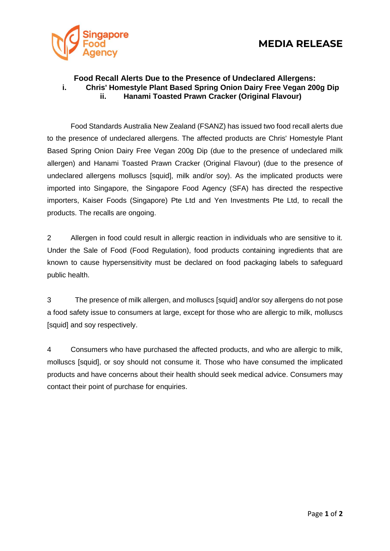

## **Food Recall Alerts Due to the Presence of Undeclared Allergens: i. Chris' Homestyle Plant Based Spring Onion Dairy Free Vegan 200g Dip ii. Hanami Toasted Prawn Cracker (Original Flavour)**

Food Standards Australia New Zealand (FSANZ) has issued two food recall alerts due to the presence of undeclared allergens. The affected products are Chris' Homestyle Plant Based Spring Onion Dairy Free Vegan 200g Dip (due to the presence of undeclared milk allergen) and Hanami Toasted Prawn Cracker (Original Flavour) (due to the presence of undeclared allergens molluscs [squid], milk and/or soy). As the implicated products were imported into Singapore, the Singapore Food Agency (SFA) has directed the respective importers, Kaiser Foods (Singapore) Pte Ltd and Yen Investments Pte Ltd, to recall the products. The recalls are ongoing.

2 Allergen in food could result in allergic reaction in individuals who are sensitive to it. Under the Sale of Food (Food Regulation), food products containing ingredients that are known to cause hypersensitivity must be declared on food packaging labels to safeguard public health.

3 The presence of milk allergen, and molluscs [squid] and/or soy allergens do not pose a food safety issue to consumers at large, except for those who are allergic to milk, molluscs [squid] and soy respectively.

4 Consumers who have purchased the affected products, and who are allergic to milk, molluscs [squid], or soy should not consume it. Those who have consumed the implicated products and have concerns about their health should seek medical advice. Consumers may contact their point of purchase for enquiries.